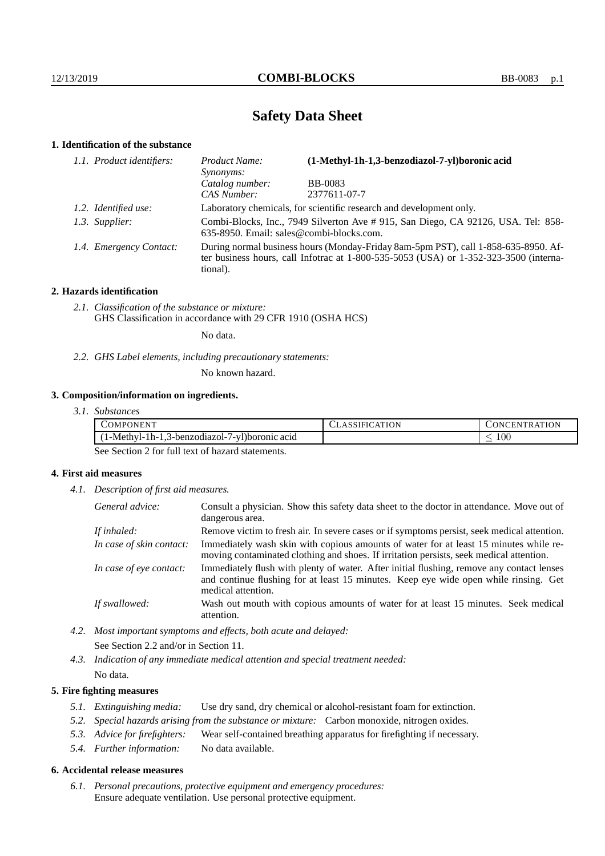# **Safety Data Sheet**

### **1. Identification of the substance**

| 1.1. Product identifiers: | (1-Methyl-1h-1,3-benzodiazol-7-yl)boronic acid<br>Product Name:<br>Synonyms:                                                                                                                |                |  |
|---------------------------|---------------------------------------------------------------------------------------------------------------------------------------------------------------------------------------------|----------------|--|
|                           | Catalog number:                                                                                                                                                                             | <b>BB-0083</b> |  |
|                           | CAS Number:                                                                                                                                                                                 | 2377611-07-7   |  |
| 1.2. Identified use:      | Laboratory chemicals, for scientific research and development only.                                                                                                                         |                |  |
| 1.3. Supplier:            | Combi-Blocks, Inc., 7949 Silverton Ave # 915, San Diego, CA 92126, USA. Tel: 858-<br>635-8950. Email: sales@combi-blocks.com.                                                               |                |  |
| 1.4. Emergency Contact:   | During normal business hours (Monday-Friday 8am-5pm PST), call 1-858-635-8950. Af-<br>ter business hours, call Infotrac at $1-800-535-5053$ (USA) or $1-352-323-3500$ (interna-<br>tional). |                |  |

### **2. Hazards identification**

*2.1. Classification of the substance or mixture:* GHS Classification in accordance with 29 CFR 1910 (OSHA HCS)

No data.

*2.2. GHS Label elements, including precautionary statements:*

No known hazard.

### **3. Composition/information on ingredients.**

*3.1. Substances*

| <b>ATT</b><br>OMPC<br>DNEN.                                                    | ATION | 'ON<br>$\overline{M}$<br>N<br>. I`R 1<br>н. |
|--------------------------------------------------------------------------------|-------|---------------------------------------------|
| $1 \times 1$<br>1h-1<br>e acıd<br>l-Methvl-<br>/-vl)boronic<br>.3-benzodiazol- |       | $100\,$<br>_                                |

See Section 2 for full text of hazard statements.

### **4. First aid measures**

*4.1. Description of first aid measures.*

| General advice:          | Consult a physician. Show this safety data sheet to the doctor in attendance. Move out of<br>dangerous area.                                                                                            |
|--------------------------|---------------------------------------------------------------------------------------------------------------------------------------------------------------------------------------------------------|
| If inhaled:              | Remove victim to fresh air. In severe cases or if symptoms persist, seek medical attention.                                                                                                             |
| In case of skin contact: | Immediately wash skin with copious amounts of water for at least 15 minutes while re-<br>moving contaminated clothing and shoes. If irritation persists, seek medical attention.                        |
| In case of eye contact:  | Immediately flush with plenty of water. After initial flushing, remove any contact lenses<br>and continue flushing for at least 15 minutes. Keep eye wide open while rinsing. Get<br>medical attention. |
| If swallowed:            | Wash out mouth with copious amounts of water for at least 15 minutes. Seek medical<br>attention.                                                                                                        |

*4.2. Most important symptoms and effects, both acute and delayed:* See Section 2.2 and/or in Section 11.

*4.3. Indication of any immediate medical attention and special treatment needed:* No data.

### **5. Fire fighting measures**

- *5.1. Extinguishing media:* Use dry sand, dry chemical or alcohol-resistant foam for extinction.
- *5.2. Special hazards arising from the substance or mixture:* Carbon monoxide, nitrogen oxides.
- *5.3. Advice for firefighters:* Wear self-contained breathing apparatus for firefighting if necessary.
- *5.4. Further information:* No data available.

#### **6. Accidental release measures**

*6.1. Personal precautions, protective equipment and emergency procedures:* Ensure adequate ventilation. Use personal protective equipment.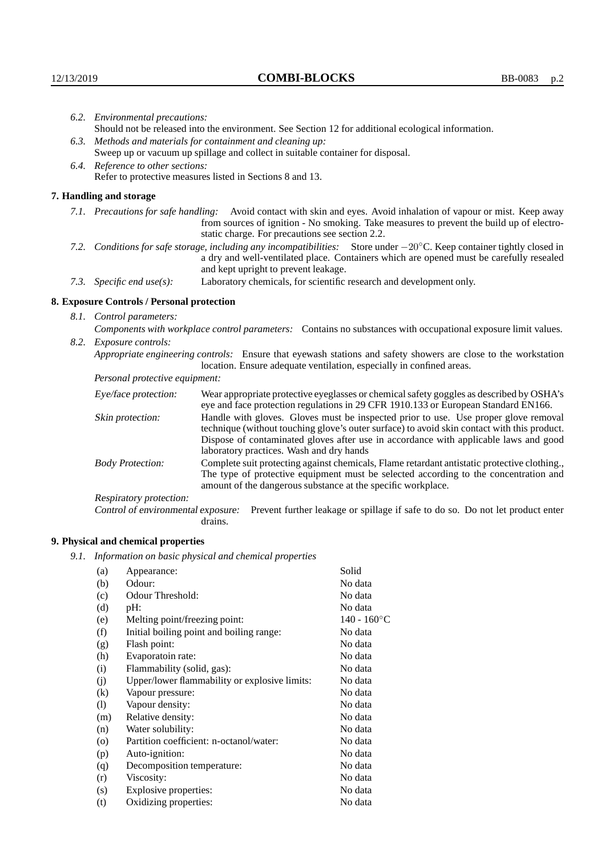|  | 6.2. Environmental precautions:                                                                                                                                                                                                                                     |                                                                                                                                                                                                                                                                    |  |  |
|--|---------------------------------------------------------------------------------------------------------------------------------------------------------------------------------------------------------------------------------------------------------------------|--------------------------------------------------------------------------------------------------------------------------------------------------------------------------------------------------------------------------------------------------------------------|--|--|
|  | Should not be released into the environment. See Section 12 for additional ecological information.                                                                                                                                                                  |                                                                                                                                                                                                                                                                    |  |  |
|  | 6.3. Methods and materials for containment and cleaning up:<br>Sweep up or vacuum up spillage and collect in suitable container for disposal.                                                                                                                       |                                                                                                                                                                                                                                                                    |  |  |
|  |                                                                                                                                                                                                                                                                     |                                                                                                                                                                                                                                                                    |  |  |
|  | 6.4. Reference to other sections:                                                                                                                                                                                                                                   |                                                                                                                                                                                                                                                                    |  |  |
|  |                                                                                                                                                                                                                                                                     | Refer to protective measures listed in Sections 8 and 13.                                                                                                                                                                                                          |  |  |
|  | 7. Handling and storage                                                                                                                                                                                                                                             |                                                                                                                                                                                                                                                                    |  |  |
|  |                                                                                                                                                                                                                                                                     | 7.1. Precautions for safe handling: Avoid contact with skin and eyes. Avoid inhalation of vapour or mist. Keep away<br>from sources of ignition - No smoking. Take measures to prevent the build up of electro-<br>static charge. For precautions see section 2.2. |  |  |
|  | 7.2. Conditions for safe storage, including any incompatibilities: Store under $-20^{\circ}$ C. Keep container tightly closed in<br>a dry and well-ventilated place. Containers which are opened must be carefully resealed<br>and kept upright to prevent leakage. |                                                                                                                                                                                                                                                                    |  |  |
|  | Laboratory chemicals, for scientific research and development only.<br>7.3. Specific end use(s):                                                                                                                                                                    |                                                                                                                                                                                                                                                                    |  |  |
|  | 8. Exposure Controls / Personal protection                                                                                                                                                                                                                          |                                                                                                                                                                                                                                                                    |  |  |
|  | 8.1. Control parameters:                                                                                                                                                                                                                                            |                                                                                                                                                                                                                                                                    |  |  |
|  | Components with workplace control parameters: Contains no substances with occupational exposure limit values.                                                                                                                                                       |                                                                                                                                                                                                                                                                    |  |  |
|  | 8.2. Exposure controls:                                                                                                                                                                                                                                             |                                                                                                                                                                                                                                                                    |  |  |
|  |                                                                                                                                                                                                                                                                     | Appropriate engineering controls: Ensure that eyewash stations and safety showers are close to the workstation<br>location. Ensure adequate ventilation, especially in confined areas.                                                                             |  |  |
|  | Personal protective equipment:                                                                                                                                                                                                                                      |                                                                                                                                                                                                                                                                    |  |  |
|  | Eye/face protection:                                                                                                                                                                                                                                                | Wear appropriate protective eyeglasses or chemical safety goggles as described by OSHA's<br>eye and face protection regulations in 29 CFR 1910.133 or European Standard EN166.                                                                                     |  |  |
|  | Skin protection:                                                                                                                                                                                                                                                    | Handle with gloves. Gloves must be inspected prior to use. Use proper glove removal<br>technique (without touching glove's outer surface) to avoid skin contact with this product.                                                                                 |  |  |

| Eye/face protection:               | Wear appropriate protective eyeglasses or chemical safety goggles as described by OSHA's<br>eye and face protection regulations in 29 CFR 1910.133 or European Standard EN166.<br>Handle with gloves. Gloves must be inspected prior to use. Use proper glove removal<br>technique (without touching glove's outer surface) to avoid skin contact with this product.<br>Dispose of contaminated gloves after use in accordance with applicable laws and good<br>laboratory practices. Wash and dry hands |                                                                                |  |
|------------------------------------|----------------------------------------------------------------------------------------------------------------------------------------------------------------------------------------------------------------------------------------------------------------------------------------------------------------------------------------------------------------------------------------------------------------------------------------------------------------------------------------------------------|--------------------------------------------------------------------------------|--|
| Skin protection:                   |                                                                                                                                                                                                                                                                                                                                                                                                                                                                                                          |                                                                                |  |
| <b>Body Protection:</b>            | Complete suit protecting against chemicals, Flame retardant antistatic protective clothing.,<br>The type of protective equipment must be selected according to the concentration and<br>amount of the dangerous substance at the specific workplace.                                                                                                                                                                                                                                                     |                                                                                |  |
| Respiratory protection:            |                                                                                                                                                                                                                                                                                                                                                                                                                                                                                                          |                                                                                |  |
| Control of environmental exposure: | drains.                                                                                                                                                                                                                                                                                                                                                                                                                                                                                                  | Prevent further leakage or spillage if safe to do so. Do not let product enter |  |

# **9. Physical and chemical properties**

*9.1. Information on basic physical and chemical properties*

| (a)     | Appearance:                                   | Solid          |
|---------|-----------------------------------------------|----------------|
| (b)     | Odour:                                        | No data        |
| (c)     | Odour Threshold:                              | No data        |
| (d)     | $pH$ :                                        | No data        |
| (e)     | Melting point/freezing point:                 | $140 - 160$ °C |
| (f)     | Initial boiling point and boiling range:      | No data        |
| (g)     | Flash point:                                  | No data        |
| (h)     | Evaporatoin rate:                             | No data        |
| (i)     | Flammability (solid, gas):                    | No data        |
| (j)     | Upper/lower flammability or explosive limits: | No data        |
| (k)     | Vapour pressure:                              | No data        |
| (1)     | Vapour density:                               | No data        |
| (m)     | Relative density:                             | No data        |
| (n)     | Water solubility:                             | No data        |
| $\circ$ | Partition coefficient: n-octanol/water:       | No data        |
| (p)     | Auto-ignition:                                | No data        |
| (q)     | Decomposition temperature:                    | No data        |
| (r)     | Viscosity:                                    | No data        |
| (s)     | Explosive properties:                         | No data        |
| (t)     | Oxidizing properties:                         | No data        |
|         |                                               |                |